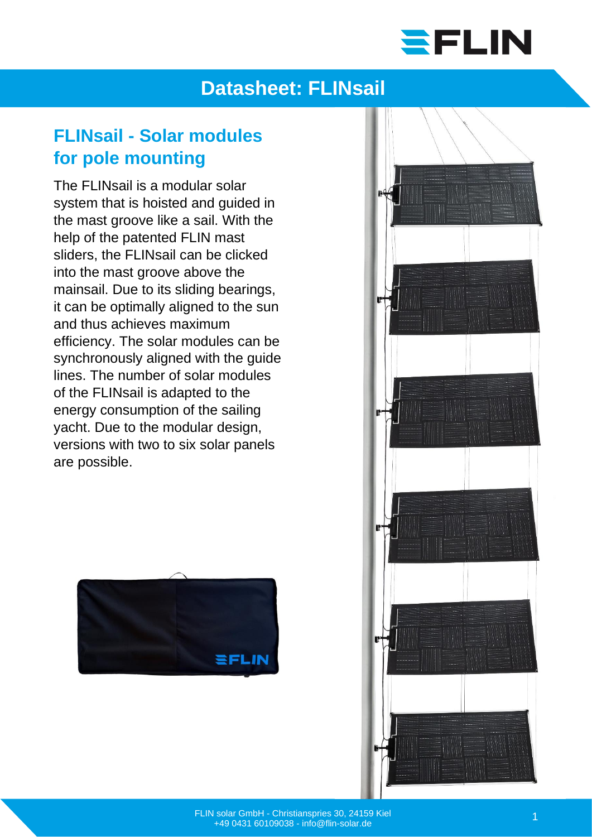

## **Datasheet: FLINsail**

#### **FLINsail - Solar modules for pole mounting**

The FLINsail is a modular solar system that is hoisted and guided in the mast groove like a sail. With the help of the patented FLIN mast sliders, the FLINsail can be clicked into the mast groove above the mainsail. Due to its sliding bearings, it can be optimally aligned to the sun and thus achieves maximum efficiency. The solar modules can be synchronously aligned with the guide lines. The number of solar modules of the FLINsail is adapted to the energy consumption of the sailing yacht. Due to the modular design, versions with two to six solar panels are possible.



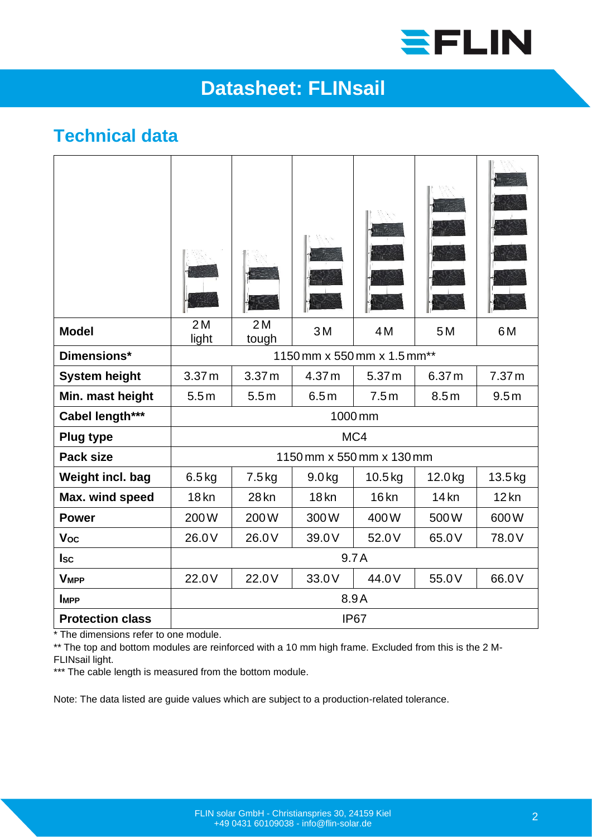

# **Datasheet: FLINsail**

#### **Technical data**

| <b>Model</b>            | 2M<br>light                 | 2M<br>tough       | 3M       | 4M                | 5M      | 6M                |
|-------------------------|-----------------------------|-------------------|----------|-------------------|---------|-------------------|
| Dimensions*             | 1150 mm x 550 mm x 1.5 mm** |                   |          |                   |         |                   |
| <b>System height</b>    | 3.37 <sub>m</sub>           | 3.37 <sub>m</sub> | 4.37 m   | 5.37 <sub>m</sub> | 6.37 m  | 7.37 <sub>m</sub> |
| Min. mast height        | 5.5m                        | 5.5m              | 6.5m     | 7.5m              | 8.5m    | 9.5m              |
| Cabel length***         | 1000 mm                     |                   |          |                   |         |                   |
| <b>Plug type</b>        | MC4                         |                   |          |                   |         |                   |
| <b>Pack size</b>        | 1150 mm x 550 mm x 130 mm   |                   |          |                   |         |                   |
| Weight incl. bag        | $6.5$ kg                    | $7.5$ kg          | $9.0$ kg | $10.5$ kg         | 12.0 kg | $13.5$ kg         |
| Max. wind speed         | 18 <sub>kn</sub>            | 28 kn             | $18$ kn  | 16 <sub>kn</sub>  | $14$ kn | $12$ kn           |
| <b>Power</b>            | 200W                        | 200W              | 300W     | 400W              | 500W    | 600W              |
| Voc                     | 26.0V                       | 26.0V             | 39.0V    | 52.0V             | 65.0V   | 78.0V             |
| <b>Isc</b>              | 9.7A                        |                   |          |                   |         |                   |
| <b>VMPP</b>             | 22.0V                       | 22.0V             | 33.0V    | 44.0V             | 55.0V   | 66.0V             |
| <b>IMPP</b>             | 8.9A                        |                   |          |                   |         |                   |
| <b>Protection class</b> | IP <sub>67</sub>            |                   |          |                   |         |                   |

\* The dimensions refer to one module.

\*\* The top and bottom modules are reinforced with a 10 mm high frame. Excluded from this is the 2 M-FLINsail light.

\*\*\* The cable length is measured from the bottom module.

Note: The data listed are guide values which are subject to a production-related tolerance.